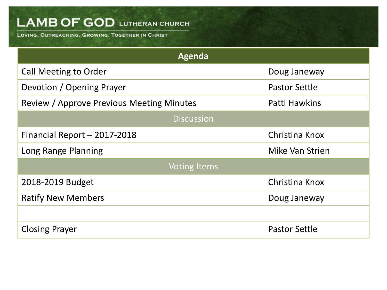LOVING, OUTREACHING, GROWING. TOGETHER IN CHRIST

| Agenda                                    |                      |  |  |  |
|-------------------------------------------|----------------------|--|--|--|
| <b>Call Meeting to Order</b>              | Doug Janeway         |  |  |  |
| Devotion / Opening Prayer                 | <b>Pastor Settle</b> |  |  |  |
| Review / Approve Previous Meeting Minutes | Patti Hawkins        |  |  |  |
| <b>Discussion</b>                         |                      |  |  |  |
| Financial Report - 2017-2018              | Christina Knox       |  |  |  |
| Long Range Planning                       | Mike Van Strien      |  |  |  |
| <b>Voting Items</b>                       |                      |  |  |  |
| 2018-2019 Budget                          | Christina Knox       |  |  |  |
| <b>Ratify New Members</b>                 | Doug Janeway         |  |  |  |
|                                           |                      |  |  |  |
| <b>Closing Prayer</b>                     | <b>Pastor Settle</b> |  |  |  |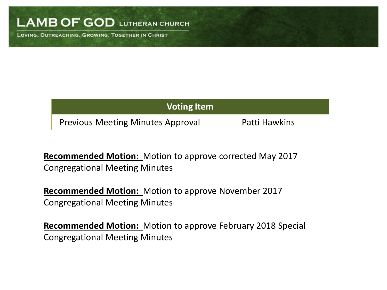LOVING, OUTREACHING, GROWING. TOGETHER IN CHRIST

| <b>Voting Item</b>                       |               |
|------------------------------------------|---------------|
| <b>Previous Meeting Minutes Approval</b> | Patti Hawkins |

**Recommended Motion:** Motion to approve corrected May 2017 Congregational Meeting Minutes

**Recommended Motion:** Motion to approve November 2017 Congregational Meeting Minutes

**Recommended Motion:** Motion to approve February 2018 Special Congregational Meeting Minutes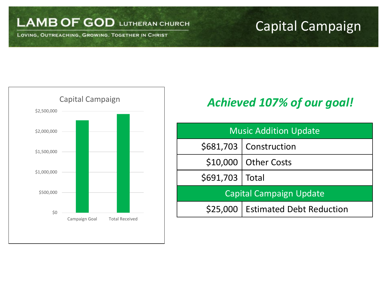LOVING, OUTREACHING, GROWING. TOGETHER IN CHRIST

## Capital Campaign



## *Achieved 107% of our goal!*

| <b>Music Addition Update</b>   |                                     |  |  |
|--------------------------------|-------------------------------------|--|--|
|                                | \$681,703   Construction            |  |  |
|                                | \$10,000   Other Costs              |  |  |
| \$691,703   Total              |                                     |  |  |
| <b>Capital Campaign Update</b> |                                     |  |  |
|                                | \$25,000   Estimated Debt Reduction |  |  |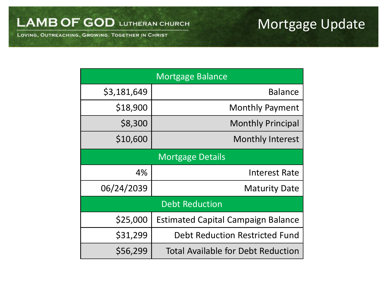## Mortgage Update

LAMB OF GOD LUTHERAN CHURCH

LOVING, OUTREACHING, GROWING. TOGETHER IN CHRIST

|             | <b>Mortgage Balance</b>                   |
|-------------|-------------------------------------------|
| \$3,181,649 | <b>Balance</b>                            |
| \$18,900    | <b>Monthly Payment</b>                    |
| \$8,300     | <b>Monthly Principal</b>                  |
| \$10,600    | <b>Monthly Interest</b>                   |
|             | <b>Mortgage Details</b>                   |
| 4%          | <b>Interest Rate</b>                      |
| 06/24/2039  | <b>Maturity Date</b>                      |
|             | <b>Debt Reduction</b>                     |
| \$25,000    | <b>Estimated Capital Campaign Balance</b> |
| \$31,299    | <b>Debt Reduction Restricted Fund</b>     |
| \$56,299    | Total Available for Debt Reduction        |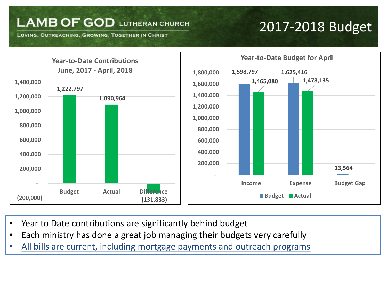LOVING, OUTREACHING, GROWING. TOGETHER IN CHRIST

## 2017-2018 Budget



- Year to Date contributions are significantly behind budget
- Each ministry has done a great job managing their budgets very carefully
- All bills are current, including mortgage payments and outreach programs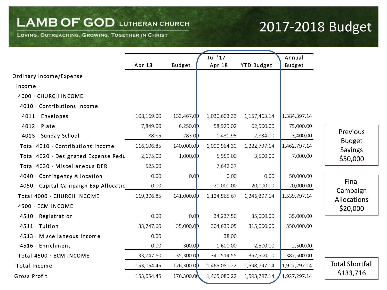LOVING, OUTREACHING, GROWING. TOGETHER IN CHRIST

## 2017-2018 Budget

|                                       |            |                  | Jul '17 -    |                   | Annual        |                                 |
|---------------------------------------|------------|------------------|--------------|-------------------|---------------|---------------------------------|
|                                       | Apr 18     | <b>Budget</b>    | Apr 18       | <b>YTD Budget</b> | <b>Budget</b> |                                 |
| <b>Ordinary Income/Expense</b>        |            |                  |              |                   |               |                                 |
| Income                                |            |                  |              |                   |               |                                 |
| 4000 · CHURCH INCOME                  |            |                  |              |                   |               |                                 |
| 4010 · Contributions Income           |            |                  |              |                   |               |                                 |
| 4011 · Envelopes                      | 108,169.00 | 133,467.0D       | 1,030,603.33 | 1,157,463.14      | 1,384,397.14  |                                 |
| $4012 \cdot$ Plate                    | 7,849.00   | 6,250.0          | 58,929.02    | 62,500.00         | 75,000.00     |                                 |
| 4013 · Sunday School                  | 88.85      | 283.0            | 1,431.95     | 2,834.00          | 3,400.00      | Previous                        |
| Total 4010 · Contributions Income     | 116,106.85 | 140,000.0D       | 1,090,964.30 | 1,222,797.14      | 1,462,797.14  | <b>Budget</b><br><b>Savings</b> |
| Total 4020 · Designated Expense Redu  | 2,675.00   | 1,000.0          | 5,959.00     | 3,500.00          | 7,000.00      | \$50,000                        |
| Total 4030 · Miscellaneous DER        | 525.00     |                  | 7,642.37     |                   |               |                                 |
| 4040 · Contingency Allocation         | 0.00       | 0.0 <sub>b</sub> | 0.00         | 0.00              | 50,000.00     |                                 |
| 4050 · Capital Campaign Exp Allocatic | 0.00       |                  | 20,000.00    | 20,000.00         | 20,000.00     | Final                           |
| Total 4000 · CHURCH INCOME            | 119,306.85 | 141,000.0D       | 1,124,565.67 | 1,246,297.14      | 1,539,797.14  | Campaign<br>Allocations         |
| 4500 · ECM INCOME                     |            |                  |              |                   |               | \$20,000                        |
| 4510 · Registration                   | 0.00       | 0.0              | 34,237.50    | 35,000.00         | 35,000.00     |                                 |
| 4511 · Tuition                        | 33,747.60  | 35,000.0D        | 304,639.05   | 315,000.00        | 350,000.00    |                                 |
| 4513 · Miscellaneous Income           | 0.00       |                  | 38.00        |                   |               |                                 |
| 4516 · Enrichment                     | 0.00       | 300.0D           | 1,600.00     | 2,500.00          | 2,500.00      |                                 |
| Total 4500 · ECM INCOME               | 33,747.60  | 35,300.0D        | 340,514.55   | 352,500.00        | 387,500.00    |                                 |
| <b>Total Income</b>                   | 153,054.45 | 176,300.0D       | 1,465,080.22 | 1,598,797.14      | 1,927,297.14  | <b>Total Shortfall</b>          |
| Gross Profit                          | 153,054.45 | 176,300.00       | 1,465,080.22 | 1,598,797.14      | 1,927,297.14  | \$133,716                       |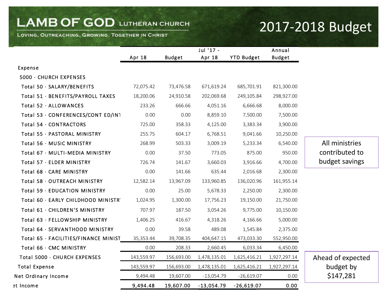#### LOVING, OUTREACHING, GROWING. TOGETHER IN CHRIST

## 2017-2018 Budget

|                                      |            |               | Jul '17 -    |                   | Annual        |                   |
|--------------------------------------|------------|---------------|--------------|-------------------|---------------|-------------------|
|                                      | Apr 18     | <b>Budget</b> | Apr 18       | <b>YTD Budget</b> | <b>Budget</b> |                   |
| Expense                              |            |               |              |                   |               |                   |
| 5000 · CHURCH EXPENSES               |            |               |              |                   |               |                   |
| Total 50 · SALARY/BENEFITS           | 72,075.42  | 73,476.58     | 671,619.24   | 685,701.91        | 821,300.00    |                   |
| Total 51 · BENEFITS/PAYROLL TAXES    | 18,200.06  | 24,910.58     | 202,069.68   | 249,105.84        | 298,927.00    |                   |
| Total 52 · ALLOWANCES                | 233.26     | 666.66        | 4,051.16     | 6,666.68          | 8,000.00      |                   |
| Total 53 · CONFERENCES/CONT ED/IN1   | 0.00       | 0.00          | 8,859.10     | 7,500.00          | 7,500.00      |                   |
| Total 54 · CONTRACTORS               | 725.00     | 358.33        | 4,125.00     | 3,383.34          | 3,900.00      |                   |
| Total 55 · PASTORAL MINISTRY         | 255.75     | 604.17        | 6,768.51     | 9,041.66          | 10,250.00     |                   |
| Total 56 · MUSIC MINISTRY            | 268.99     | 503.33        | 3,009.19     | 5,233.34          | 6,540.00      | All ministries    |
| Total 67 · MULTI-MEDIA MINISTRY      | 0.00       | 37.50         | 773.05       | 875.00            | 950.00        | contributed to    |
| Total 57 · ELDER MINISTRY            | 726.74     | 141.67        | 3,660.03     | 3,916.66          | 4,700.00      | budget savings    |
| Total 68 · CARE MINISTRY             | 0.00       | 141.66        | 635.44       | 2,016.68          | 2,300.00      |                   |
| Total 58 · OUTREACH MINISTRY         | 12,582.14  | 13,967.09     | 133,960.85   | 136,020.96        | 161,955.14    |                   |
| Total 59 · EDUCATION MINISTRY        | 0.00       | 25.00         | 5,678.33     | 2,250.00          | 2,300.00      |                   |
| Total 60 · EARLY CHILDHOOD MINISTR'  | 1,024.95   | 1,300.00      | 17,756.23    | 19,150.00         | 21,750.00     |                   |
| Total 61 · CHILDREN'S MINISTRY       | 707.97     | 187.50        | 3,054.26     | 9,775.00          | 10,150.00     |                   |
| Total 63 · FELLOWSHIP MINISTRY       | 1,406.25   | 416.67        | 4,318.26     | 4,166.66          | 5,000.00      |                   |
| Total 64 · SERVANTHOOD MINISTRY      | 0.00       | 39.58         | 489.08       | 1,545.84          | 2,375.00      |                   |
| Total 65 · FACILITIES/FINANCE MINIST | 35,353.44  | 39,708.35     | 404,647.15   | 473,033.30        | 552,950.00    |                   |
| Total 66 · CMC MINISTRY              | 0.00       | 208.33        | 2,660.45     | 6,033.34          | 6,450.00      |                   |
| Total 5000 · CHURCH EXPENSES         | 143,559.97 | 156,693.00    | 1,478,135.01 | 1,625,416.21      | 1,927,297.14  | Ahead of expected |
| <b>Total Expense</b>                 | 143,559.97 | 156,693.00    | 1,478,135.01 | 1,625,416.21      | 1,927,297.14  | budget by         |
| Net Ordinary Income                  | 9,494.48   | 19,607.00     | $-13,054.79$ | $-26,619.07$      | 0.00          | \$147,281         |
| et Income                            | 9,494.48   | 19,607.00     | $-13,054.79$ | $-26,619.07$      | 0.00          |                   |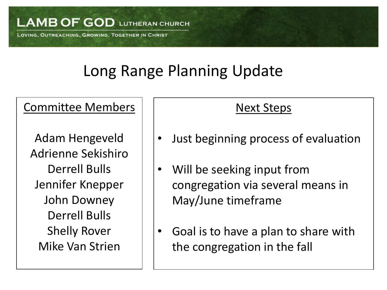LOVING, OUTREACHING, GROWING. TOGETHER IN CHRIST

# Long Range Planning Update

## Committee Members

Adam Hengeveld Adrienne Sekishiro Derrell Bulls Jennifer Knepper John Downey Derrell Bulls Shelly Rover Mike Van Strien

## Next Steps

- Just beginning process of evaluation
- Will be seeking input from congregation via several means in May/June timeframe
- Goal is to have a plan to share with the congregation in the fall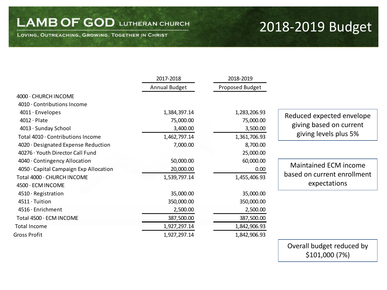LOVING, OUTREACHING, GROWING. TOGETHER IN CHRIST

## 2018-2019 Budget

|                                        | 2017-2018     | 2018-2019       |                              |
|----------------------------------------|---------------|-----------------|------------------------------|
|                                        | Annual Budget | Proposed Budget |                              |
| 4000 · CHURCH INCOME                   |               |                 |                              |
| 4010 · Contributions Income            |               |                 |                              |
| $4011 \cdot$ Envelopes                 | 1,384,397.14  | 1,283,206.93    | Reduced expected envelope    |
| $4012 \cdot$ Plate                     | 75,000.00     | 75,000.00       |                              |
| 4013 · Sunday School                   | 3,400.00      | 3,500.00        | giving based on current      |
| Total 4010 · Contributions Income      | 1,462,797.14  | 1,361,706.93    | giving levels plus 5%        |
| 4020 · Designated Expense Reduction    | 7,000.00      | 8,700.00        |                              |
| 40276 · Youth Director Call Fund       |               | 25,000.00       |                              |
| 4040 Contingency Allocation            | 50,000.00     | 60,000.00       |                              |
| 4050 · Capital Campaign Exp Allocation | 20,000.00     | 0.00            | <b>Maintained ECM income</b> |
| Total 4000 · CHURCH INCOME             | 1,539,797.14  | 1,455,406.93    | based on current enrollment  |
| 4500 · ECM INCOME                      |               |                 | expectations                 |
| 4510 · Registration                    | 35,000.00     | 35,000.00       |                              |
| 4511 · Tuition                         | 350,000.00    | 350,000.00      |                              |
| 4516 · Enrichment                      | 2,500.00      | 2,500.00        |                              |
| Total 4500 · ECM INCOME                | 387,500.00    | 387,500.00      |                              |
| <b>Total Income</b>                    | 1,927,297.14  | 1,842,906.93    |                              |
| Gross Profit                           | 1,927,297.14  | 1,842,906.93    |                              |

Overall budget reduced by \$101,000 (7%)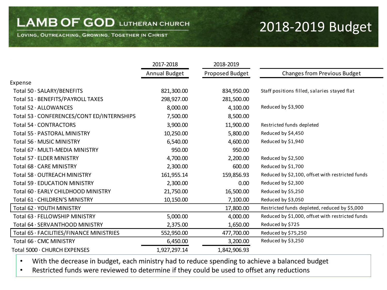LOVING, OUTREACHING, GROWING. TOGETHER IN CHRIST

## 2018-2019 Budget

|                                            | 2017-2018     | 2018-2019       |                                                  |
|--------------------------------------------|---------------|-----------------|--------------------------------------------------|
|                                            | Annual Budget | Proposed Budget | <b>Changes from Previous Budget</b>              |
| Expense                                    |               |                 |                                                  |
| Total 50 · SALARY/BENEFITS                 | 821,300.00    | 834,950.00      | Staff positions filled, salaries stayed flat     |
| Total 51 · BENEFITS/PAYROLL TAXES          | 298,927.00    | 281,500.00      |                                                  |
| Total 52 · ALLOWANCES                      | 8,000.00      | 4,100.00        | Reduced by \$3,900                               |
| Total 53 · CONFERENCES/CONT ED/INTERNSHIPS | 7,500.00      | 8,500.00        |                                                  |
| Total 54 · CONTRACTORS                     | 3,900.00      | 11,900.00       | Restricted funds depleted                        |
| Total 55 · PASTORAL MINISTRY               | 10,250.00     | 5,800.00        | Reduced by \$4,450                               |
| Total 56 · MUSIC MINISTRY                  | 6,540.00      | 4,600.00        | Reduced by \$1,940                               |
| Total 67 · MULTI-MEDIA MINISTRY            | 950.00        | 950.00          |                                                  |
| Total 57 · ELDER MINISTRY                  | 4,700.00      | 2,200.00        | Reduced by \$2,500                               |
| Total 68 · CARE MINISTRY                   | 2,300.00      | 600.00          | Reduced by \$1,700                               |
| Total 58 · OUTREACH MINISTRY               | 161,955.14    | 159,856.93      | Reduced by \$2,100, offset with restricted funds |
| Total 59 · EDUCATION MINISTRY              | 2,300.00      | 0.00            | Reduced by \$2,300                               |
| Total 60 · EARLY CHILDHOOD MINISTRY        | 21,750.00     | 16,500.00       | Reduced by \$5,250                               |
| Total 61 · CHILDREN'S MINISTRY             | 10,150.00     | 7,100.00        | Reduced by \$3,050                               |
| Total 62 · YOUTH MINISTRY                  |               | 17,800.00       | Restricted funds depleted, reduced by \$5,000    |
| Total 63 · FELLOWSHIP MINISTRY             | 5,000.00      | 4,000.00        | Reduced by \$1,000, offset with restricted funds |
| Total 64 · SERVANTHOOD MINISTRY            | 2,375.00      | 1,650.00        | Reduced by \$725                                 |
| Total 65 · FACILITIES/FINANCE MINISTRIES   | 552,950.00    | 477,700.00      | Reduced by \$75,250                              |
| Total 66 · CMC MINISTRY                    | 6,450.00      | 3,200.00        | Reduced by \$3,250                               |
| Total 5000 · CHURCH EXPENSES               | 1,927,297.14  | 1,842,906.93    |                                                  |

• With the decrease in budget, each ministry had to reduce spending to achieve a balanced budget

• Restricted funds were reviewed to determine if they could be used to offset any reductions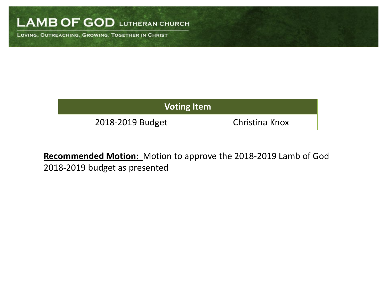LOVING, OUTREACHING, GROWING. TOGETHER IN CHRIST

| <b>Voting Item</b> |                |  |  |  |
|--------------------|----------------|--|--|--|
| 2018-2019 Budget   | Christina Knox |  |  |  |

**Recommended Motion:** Motion to approve the 2018-2019 Lamb of God 2018-2019 budget as presented